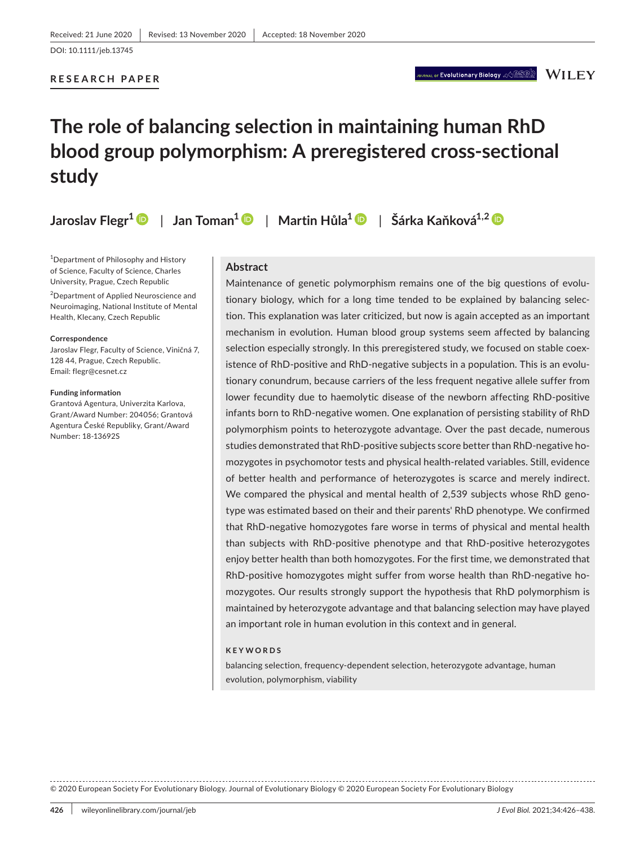#### **RESEARCH PAPER**

# JRNAL OF **EVOlutionary Biology**  $\mathcal{A}\oplus\mathcal{B}\oplus\mathcal{B}$   $\mathbb{W}$  [  $\mathsf{L}\mathsf{E}\mathsf{Y}$

# **The role of balancing selection in maintaining human RhD blood group polymorphism: A preregistered cross-sectional study**

**Jaroslav Flegr1** | **Jan Toman[1](https://orcid.org/0000-0002-0776-2070)** | **Martin Hůla<sup>1</sup>** | **Šárka Kaňková1,2**

1 Department of Philosophy and History of Science, Faculty of Science, Charles University, Prague, Czech Republic

2 Department of Applied Neuroscience and Neuroimaging, National Institute of Mental Health, Klecany, Czech Republic

#### **Correspondence**

Jaroslav Flegr, Faculty of Science, Viničná 7, 128 44, Prague, Czech Republic. Email: [flegr@cesnet.cz](mailto:flegr@cesnet.cz)

#### **Funding information**

Grantová Agentura, Univerzita Karlova, Grant/Award Number: 204056; Grantová Agentura České Republiky, Grant/Award Number: 18-13692S

#### **Abstract**

Maintenance of genetic polymorphism remains one of the big questions of evolutionary biology, which for a long time tended to be explained by balancing selection. This explanation was later criticized, but now is again accepted as an important mechanism in evolution. Human blood group systems seem affected by balancing selection especially strongly. In this preregistered study, we focused on stable coexistence of RhD-positive and RhD-negative subjects in a population. This is an evolutionary conundrum, because carriers of the less frequent negative allele suffer from lower fecundity due to haemolytic disease of the newborn affecting RhD-positive infants born to RhD-negative women. One explanation of persisting stability of RhD polymorphism points to heterozygote advantage. Over the past decade, numerous studies demonstrated that RhD-positive subjects score better than RhD-negative homozygotes in psychomotor tests and physical health-related variables. Still, evidence of better health and performance of heterozygotes is scarce and merely indirect. We compared the physical and mental health of 2,539 subjects whose RhD genotype was estimated based on their and their parents' RhD phenotype. We confirmed that RhD-negative homozygotes fare worse in terms of physical and mental health than subjects with RhD-positive phenotype and that RhD-positive heterozygotes enjoy better health than both homozygotes. For the first time, we demonstrated that RhD-positive homozygotes might suffer from worse health than RhD-negative homozygotes. Our results strongly support the hypothesis that RhD polymorphism is maintained by heterozygote advantage and that balancing selection may have played an important role in human evolution in this context and in general.

#### **KEYWORDS**

balancing selection, frequency-dependent selection, heterozygote advantage, human evolution, polymorphism, viability

© 2020 European Society For Evolutionary Biology. Journal of Evolutionary Biology © 2020 European Society For Evolutionary Biology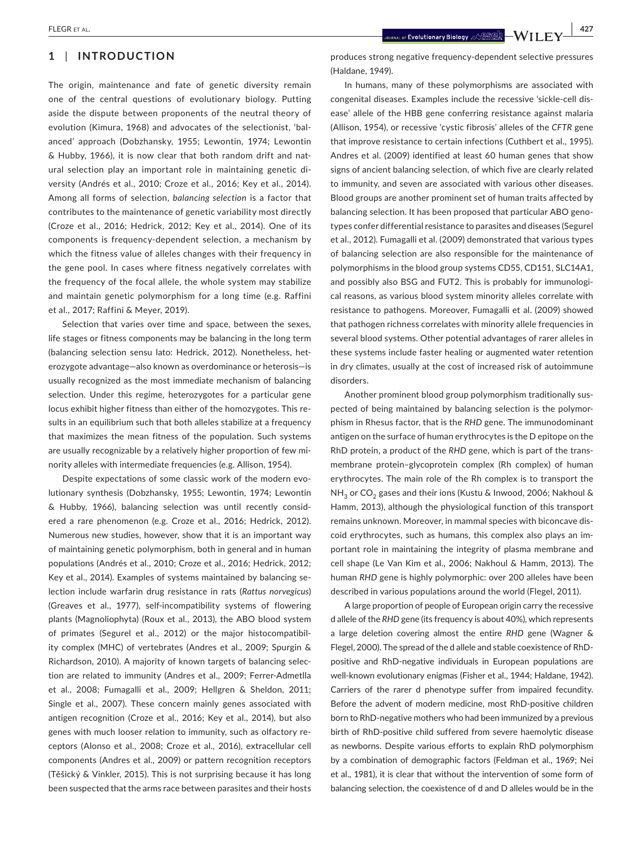# **1** | **INTRODUCTION**

The origin, maintenance and fate of genetic diversity remain one of the central questions of evolutionary biology. Putting aside the dispute between proponents of the neutral theory of evolution (Kimura, 1968) and advocates of the selectionist, 'balanced' approach (Dobzhansky, 1955; Lewontin, 1974; Lewontin & Hubby, 1966), it is now clear that both random drift and natural selection play an important role in maintaining genetic diversity (Andrés et al., 2010; Croze et al., 2016; Key et al., 2014). Among all forms of selection, *balancing selection* is a factor that contributes to the maintenance of genetic variability most directly (Croze et al., 2016; Hedrick, 2012; Key et al., 2014). One of its components is frequency-dependent selection, a mechanism by which the fitness value of alleles changes with their frequency in the gene pool. In cases where fitness negatively correlates with the frequency of the focal allele, the whole system may stabilize and maintain genetic polymorphism for a long time (e.g. Raffini et al., 2017; Raffini & Meyer, 2019).

Selection that varies over time and space, between the sexes, life stages or fitness components may be balancing in the long term (balancing selection sensu lato: Hedrick, 2012). Nonetheless, heterozygote advantage—also known as overdominance or heterosis—is usually recognized as the most immediate mechanism of balancing selection. Under this regime, heterozygotes for a particular gene locus exhibit higher fitness than either of the homozygotes. This results in an equilibrium such that both alleles stabilize at a frequency that maximizes the mean fitness of the population. Such systems are usually recognizable by a relatively higher proportion of few minority alleles with intermediate frequencies (e.g. Allison, 1954).

Despite expectations of some classic work of the modern evolutionary synthesis (Dobzhansky, 1955; Lewontin, 1974; Lewontin & Hubby, 1966), balancing selection was until recently considered a rare phenomenon (e.g. Croze et al., 2016; Hedrick, 2012). Numerous new studies, however, show that it is an important way of maintaining genetic polymorphism, both in general and in human populations (Andrés et al., 2010; Croze et al., 2016; Hedrick, 2012; Key et al., 2014). Examples of systems maintained by balancing selection include warfarin drug resistance in rats (*Rattus norvegicus*) (Greaves et al., 1977), self-incompatibility systems of flowering plants (Magnoliophyta) (Roux et al., 2013), the ABO blood system of primates (Segurel et al., 2012) or the major histocompatibility complex (MHC) of vertebrates (Andres et al., 2009; Spurgin & Richardson, 2010). A majority of known targets of balancing selection are related to immunity (Andres et al., 2009; Ferrer-Admetlla et al., 2008; Fumagalli et al., 2009; Hellgren & Sheldon, 2011; Single et al., 2007). These concern mainly genes associated with antigen recognition (Croze et al., 2016; Key et al., 2014), but also genes with much looser relation to immunity, such as olfactory receptors (Alonso et al., 2008; Croze et al., 2016), extracellular cell components (Andres et al., 2009) or pattern recognition receptors (Těšický & Vinkler, 2015). This is not surprising because it has long been suspected that the arms race between parasites and their hosts produces strong negative frequency-dependent selective pressures (Haldane, 1949).

In humans, many of these polymorphisms are associated with congenital diseases. Examples include the recessive 'sickle-cell disease' allele of the HBB gene conferring resistance against malaria (Allison, 1954), or recessive 'cystic fibrosis' alleles of the *CFTR* gene that improve resistance to certain infections (Cuthbert et al., 1995). Andres et al. (2009) identified at least 60 human genes that show signs of ancient balancing selection, of which five are clearly related to immunity, and seven are associated with various other diseases. Blood groups are another prominent set of human traits affected by balancing selection. It has been proposed that particular ABO genotypes confer differential resistance to parasites and diseases (Segurel et al., 2012). Fumagalli et al. (2009) demonstrated that various types of balancing selection are also responsible for the maintenance of polymorphisms in the blood group systems CD55, CD151, SLC14A1, and possibly also BSG and FUT2. This is probably for immunological reasons, as various blood system minority alleles correlate with resistance to pathogens. Moreover, Fumagalli et al. (2009) showed that pathogen richness correlates with minority allele frequencies in several blood systems. Other potential advantages of rarer alleles in these systems include faster healing or augmented water retention in dry climates, usually at the cost of increased risk of autoimmune disorders.

Another prominent blood group polymorphism traditionally suspected of being maintained by balancing selection is the polymorphism in Rhesus factor, that is the *RHD* gene. The immunodominant antigen on the surface of human erythrocytes is the D epitope on the RhD protein, a product of the *RHD* gene, which is part of the transmembrane protein–glycoprotein complex (Rh complex) of human erythrocytes. The main role of the Rh complex is to transport the NH<sub>3</sub> or CO<sub>2</sub> gases and their ions (Kustu & Inwood, 2006; Nakhoul & Hamm, 2013), although the physiological function of this transport remains unknown. Moreover, in mammal species with biconcave discoid erythrocytes, such as humans, this complex also plays an important role in maintaining the integrity of plasma membrane and cell shape (Le Van Kim et al., 2006; Nakhoul & Hamm, 2013). The human *RHD* gene is highly polymorphic: over 200 alleles have been described in various populations around the world (Flegel, 2011).

A large proportion of people of European origin carry the recessive d allele of the *RHD* gene (its frequency is about 40%), which represents a large deletion covering almost the entire *RHD* gene (Wagner & Flegel, 2000). The spread of the d allele and stable coexistence of RhDpositive and RhD-negative individuals in European populations are well-known evolutionary enigmas (Fisher et al., 1944; Haldane, 1942). Carriers of the rarer d phenotype suffer from impaired fecundity. Before the advent of modern medicine, most RhD-positive children born to RhD-negative mothers who had been immunized by a previous birth of RhD-positive child suffered from severe haemolytic disease as newborns. Despite various efforts to explain RhD polymorphism by a combination of demographic factors (Feldman et al., 1969; Nei et al., 1981), it is clear that without the intervention of some form of balancing selection, the coexistence of d and D alleles would be in the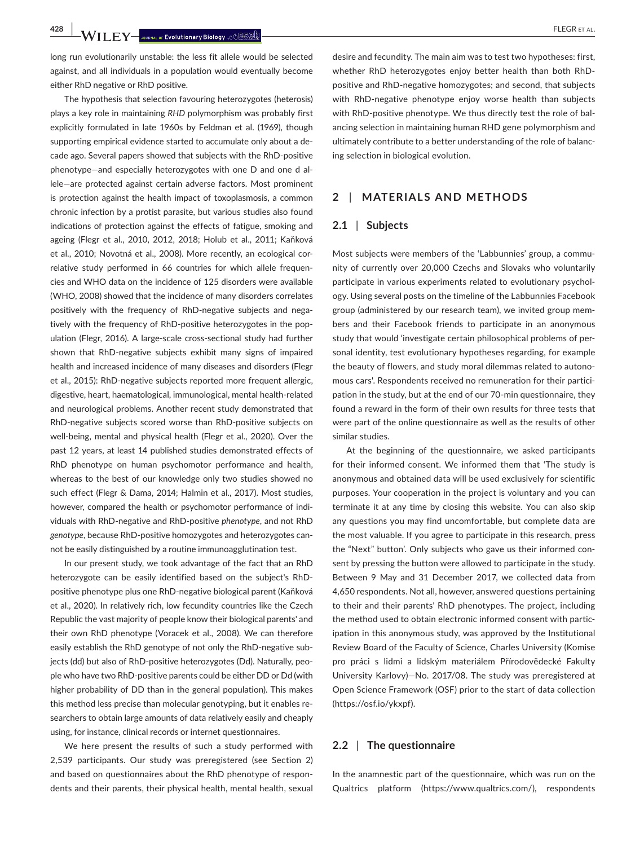**428 • WII.F.Y** Journal of Evolutionary Biology ,  $\frac{1}{2}$  **Budge 2014** 

long run evolutionarily unstable: the less fit allele would be selected against, and all individuals in a population would eventually become either RhD negative or RhD positive.

The hypothesis that selection favouring heterozygotes (heterosis) plays a key role in maintaining *RHD* polymorphism was probably first explicitly formulated in late 1960s by Feldman et al. (1969), though supporting empirical evidence started to accumulate only about a decade ago. Several papers showed that subjects with the RhD-positive phenotype—and especially heterozygotes with one D and one d allele—are protected against certain adverse factors. Most prominent is protection against the health impact of toxoplasmosis, a common chronic infection by a protist parasite, but various studies also found indications of protection against the effects of fatigue, smoking and ageing (Flegr et al., 2010, 2012, 2018; Holub et al., 2011; Kaňková et al., 2010; Novotná et al., 2008). More recently, an ecological correlative study performed in 66 countries for which allele frequencies and WHO data on the incidence of 125 disorders were available (WHO, 2008) showed that the incidence of many disorders correlates positively with the frequency of RhD-negative subjects and negatively with the frequency of RhD-positive heterozygotes in the population (Flegr, 2016). A large-scale cross-sectional study had further shown that RhD-negative subjects exhibit many signs of impaired health and increased incidence of many diseases and disorders (Flegr et al., 2015): RhD-negative subjects reported more frequent allergic, digestive, heart, haematological, immunological, mental health-related and neurological problems. Another recent study demonstrated that RhD-negative subjects scored worse than RhD-positive subjects on well-being, mental and physical health (Flegr et al., 2020). Over the past 12 years, at least 14 published studies demonstrated effects of RhD phenotype on human psychomotor performance and health, whereas to the best of our knowledge only two studies showed no such effect (Flegr & Dama, 2014; Halmin et al., 2017). Most studies, however, compared the health or psychomotor performance of individuals with RhD-negative and RhD-positive *phenotype*, and not RhD *genotype*, because RhD-positive homozygotes and heterozygotes cannot be easily distinguished by a routine immunoagglutination test.

In our present study, we took advantage of the fact that an RhD heterozygote can be easily identified based on the subject's RhDpositive phenotype plus one RhD-negative biological parent (Kaňková et al., 2020). In relatively rich, low fecundity countries like the Czech Republic the vast majority of people know their biological parents' and their own RhD phenotype (Voracek et al., 2008). We can therefore easily establish the RhD genotype of not only the RhD-negative subjects (dd) but also of RhD-positive heterozygotes (Dd). Naturally, people who have two RhD-positive parents could be either DD or Dd (with higher probability of DD than in the general population). This makes this method less precise than molecular genotyping, but it enables researchers to obtain large amounts of data relatively easily and cheaply using, for instance, clinical records or internet questionnaires.

We here present the results of such a study performed with 2,539 participants. Our study was preregistered (see Section 2) and based on questionnaires about the RhD phenotype of respondents and their parents, their physical health, mental health, sexual desire and fecundity. The main aim was to test two hypotheses: first, whether RhD heterozygotes enjoy better health than both RhDpositive and RhD-negative homozygotes; and second, that subjects with RhD-negative phenotype enjoy worse health than subjects with RhD-positive phenotype. We thus directly test the role of balancing selection in maintaining human RHD gene polymorphism and ultimately contribute to a better understanding of the role of balancing selection in biological evolution.

### **2** | **MATERIALS AND METHODS**

#### **2.1** | **Subjects**

Most subjects were members of the 'Labbunnies' group, a community of currently over 20,000 Czechs and Slovaks who voluntarily participate in various experiments related to evolutionary psychology. Using several posts on the timeline of the Labbunnies Facebook group (administered by our research team), we invited group members and their Facebook friends to participate in an anonymous study that would 'investigate certain philosophical problems of personal identity, test evolutionary hypotheses regarding, for example the beauty of flowers, and study moral dilemmas related to autonomous cars'. Respondents received no remuneration for their participation in the study, but at the end of our 70-min questionnaire, they found a reward in the form of their own results for three tests that were part of the online questionnaire as well as the results of other similar studies.

At the beginning of the questionnaire, we asked participants for their informed consent. We informed them that 'The study is anonymous and obtained data will be used exclusively for scientific purposes. Your cooperation in the project is voluntary and you can terminate it at any time by closing this website. You can also skip any questions you may find uncomfortable, but complete data are the most valuable. If you agree to participate in this research, press the "Next" button'. Only subjects who gave us their informed consent by pressing the button were allowed to participate in the study. Between 9 May and 31 December 2017, we collected data from 4,650 respondents. Not all, however, answered questions pertaining to their and their parents' RhD phenotypes. The project, including the method used to obtain electronic informed consent with participation in this anonymous study, was approved by the Institutional Review Board of the Faculty of Science, Charles University (Komise pro práci s lidmi a lidským materiálem Přírodovědecké Fakulty University Karlovy)—No. 2017/08. The study was preregistered at Open Science Framework (OSF) prior to the start of data collection (<https://osf.io/ykxpf>).

## **2.2** | **The questionnaire**

In the anamnestic part of the questionnaire, which was run on the Qualtrics platform (<https://www.qualtrics.com/>), respondents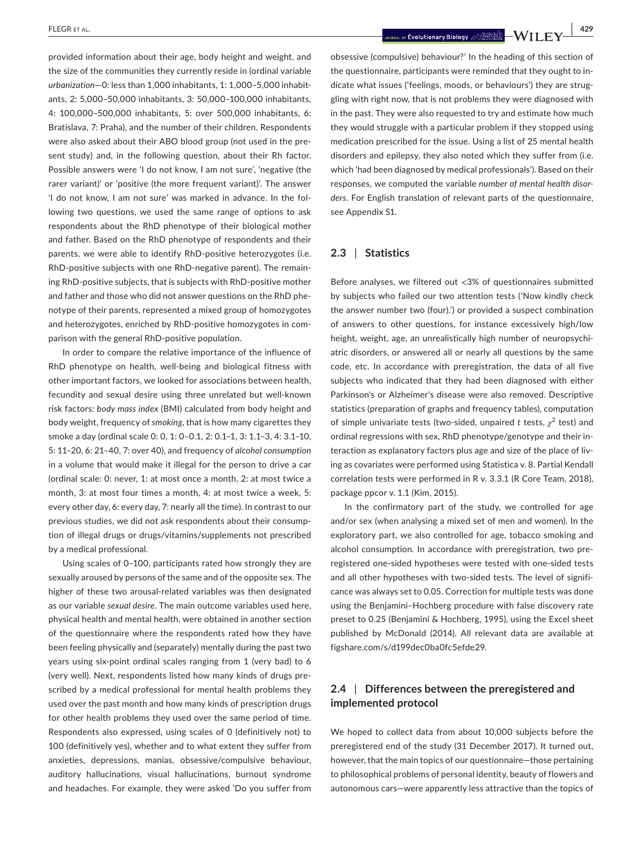provided information about their age, body height and weight, and the size of the communities they currently reside in (ordinal variable *urbanization*—0: less than 1,000 inhabitants, 1: 1,000‒5,000 inhabitants, 2: 5,000-50,000 inhabitants, 3: 50,000-100,000 inhabitants, 4: 100,000‒500,000 inhabitants, 5: over 500,000 inhabitants, 6: Bratislava, 7: Praha), and the number of their children. Respondents were also asked about their ABO blood group (not used in the present study) and, in the following question, about their Rh factor. Possible answers were 'I do not know, I am not sure', 'negative (the rarer variant)' or 'positive (the more frequent variant)'. The answer 'I do not know, I am not sure' was marked in advance. In the following two questions, we used the same range of options to ask respondents about the RhD phenotype of their biological mother and father. Based on the RhD phenotype of respondents and their parents, we were able to identify RhD-positive heterozygotes (i.e. RhD-positive subjects with one RhD-negative parent). The remaining RhD-positive subjects, that is subjects with RhD-positive mother and father and those who did not answer questions on the RhD phenotype of their parents, represented a mixed group of homozygotes and heterozygotes, enriched by RhD-positive homozygotes in comparison with the general RhD-positive population.

In order to compare the relative importance of the influence of RhD phenotype on health, well-being and biological fitness with other important factors, we looked for associations between health, fecundity and sexual desire using three unrelated but well-known risk factors: *body mass index* (BMI) calculated from body height and body weight, frequency of *smoking*, that is how many cigarettes they smoke a day (ordinal scale 0: 0, 1: 0-0.1, 2: 0.1-1, 3: 1.1-3, 4: 3.1-10, 5: 11‒20, 6: 21‒40, 7: over 40), and frequency of *alcohol consumption* in a volume that would make it illegal for the person to drive a car (ordinal scale: 0: never, 1: at most once a month, 2: at most twice a month, 3: at most four times a month, 4: at most twice a week, 5: every other day, 6: every day, 7: nearly all the time). In contrast to our previous studies, we did not ask respondents about their consumption of illegal drugs or drugs/vitamins/supplements not prescribed by a medical professional.

Using scales of 0–100, participants rated how strongly they are sexually aroused by persons of the same and of the opposite sex. The higher of these two arousal-related variables was then designated as our variable *sexual desire*. The main outcome variables used here, physical health and mental health, were obtained in another section of the questionnaire where the respondents rated how they have been feeling physically and (separately) mentally during the past two years using six-point ordinal scales ranging from 1 (very bad) to 6 (very well). Next, respondents listed how many kinds of drugs prescribed by a medical professional for mental health problems they used over the past month and how many kinds of prescription drugs for other health problems they used over the same period of time. Respondents also expressed, using scales of 0 (definitively not) to 100 (definitively yes), whether and to what extent they suffer from anxieties, depressions, manias, obsessive/compulsive behaviour, auditory hallucinations, visual hallucinations, burnout syndrome and headaches. For example, they were asked 'Do you suffer from

 **|** FLEGR et al. **429**

obsessive (compulsive) behaviour?' In the heading of this section of the questionnaire, participants were reminded that they ought to indicate what issues ('feelings, moods, or behaviours') they are struggling with right now, that is not problems they were diagnosed with in the past. They were also requested to try and estimate how much they would struggle with a particular problem if they stopped using medication prescribed for the issue. Using a list of 25 mental health disorders and epilepsy, they also noted which they suffer from (i.e. which 'had been diagnosed by medical professionals'). Based on their responses, we computed the variable *number of mental health disorders*. For English translation of relevant parts of the questionnaire, see Appendix S1.

## **2.3** | **Statistics**

Before analyses, we filtered out <3% of questionnaires submitted by subjects who failed our two attention tests ('Now kindly check the answer number two (four).') or provided a suspect combination of answers to other questions, for instance excessively high/low height, weight, age, an unrealistically high number of neuropsychiatric disorders, or answered all or nearly all questions by the same code, etc. In accordance with preregistration, the data of all five subjects who indicated that they had been diagnosed with either Parkinson's or Alzheimer's disease were also removed. Descriptive statistics (preparation of graphs and frequency tables), computation of simple univariate tests (two-sided, unpaired *t* tests,  $\chi^2$  test) and ordinal regressions with sex, RhD phenotype/genotype and their interaction as explanatory factors plus age and size of the place of living as covariates were performed using Statistica v. 8. Partial Kendall correlation tests were performed in R v. 3.3.1 (R Core Team, 2018), package ppcor v. 1.1 (Kim, 2015).

In the confirmatory part of the study, we controlled for age and/or sex (when analysing a mixed set of men and women). In the exploratory part, we also controlled for age, tobacco smoking and alcohol consumption. In accordance with preregistration, two preregistered one-sided hypotheses were tested with one-sided tests and all other hypotheses with two-sided tests. The level of significance was always set to 0.05. Correction for multiple tests was done using the Benjamini–Hochberg procedure with false discovery rate preset to 0.25 (Benjamini & Hochberg, 1995), using the Excel sheet published by McDonald (2014). All relevant data are available at [figshare.com/s/d199dec0ba0fc5efde29.](http://figshare.com/s/d199dec0ba0fc5efde29)

# **2.4** | **Differences between the preregistered and implemented protocol**

We hoped to collect data from about 10,000 subjects before the preregistered end of the study (31 December 2017). It turned out, however, that the main topics of our questionnaire—those pertaining to philosophical problems of personal identity, beauty of flowers and autonomous cars—were apparently less attractive than the topics of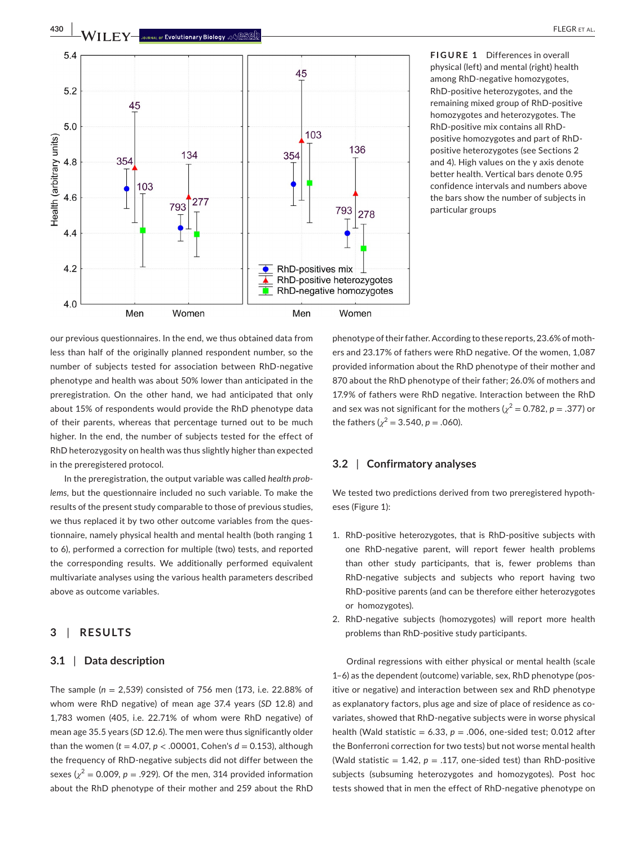

**FIGURE 1** Differences in overall physical (left) and mental (right) health among RhD-negative homozygotes, RhD-positive heterozygotes, and the remaining mixed group of RhD-positive homozygotes and heterozygotes. The RhD-positive mix contains all RhDpositive homozygotes and part of RhDpositive heterozygotes (see Sections 2 and 4). High values on the y axis denote better health. Vertical bars denote 0.95 confidence intervals and numbers above the bars show the number of subjects in particular groups

our previous questionnaires. In the end, we thus obtained data from less than half of the originally planned respondent number, so the number of subjects tested for association between RhD-negative phenotype and health was about 50% lower than anticipated in the preregistration. On the other hand, we had anticipated that only about 15% of respondents would provide the RhD phenotype data of their parents, whereas that percentage turned out to be much higher. In the end, the number of subjects tested for the effect of RhD heterozygosity on health was thus slightly higher than expected in the preregistered protocol.

In the preregistration, the output variable was called *health problems*, but the questionnaire included no such variable. To make the results of the present study comparable to those of previous studies, we thus replaced it by two other outcome variables from the questionnaire, namely physical health and mental health (both ranging 1 to 6), performed a correction for multiple (two) tests, and reported the corresponding results. We additionally performed equivalent multivariate analyses using the various health parameters described above as outcome variables.

# **3** | **RESULTS**

## **3.1** | **Data description**

The sample (*n* = 2,539) consisted of 756 men (173, i.e. 22.88% of whom were RhD negative) of mean age 37.4 years (*SD* 12.8) and 1,783 women (405, i.e. 22.71% of whom were RhD negative) of mean age 35.5 years (*SD* 12.6). The men were thus significantly older than the women ( $t = 4.07$ ,  $p < .00001$ , Cohen's  $d = 0.153$ ), although the frequency of RhD-negative subjects did not differ between the sexes ( $\chi^2$  = 0.009,  $p$  = .929). Of the men, 314 provided information about the RhD phenotype of their mother and 259 about the RhD

phenotype of their father. According to these reports, 23.6% of mothers and 23.17% of fathers were RhD negative. Of the women, 1,087 provided information about the RhD phenotype of their mother and 870 about the RhD phenotype of their father; 26.0% of mothers and 17.9% of fathers were RhD negative. Interaction between the RhD and sex was not significant for the mothers ( $\chi^2 = 0.782$ ,  $p = .377$ ) or the fathers ( $\chi^2$  = 3.540, *p* = .060).

## **3.2** | **Confirmatory analyses**

We tested two predictions derived from two preregistered hypotheses (Figure 1):

- 1. RhD-positive heterozygotes, that is RhD-positive subjects with one RhD-negative parent, will report fewer health problems than other study participants, that is, fewer problems than RhD-negative subjects and subjects who report having two RhD-positive parents (and can be therefore either heterozygotes or homozygotes).
- 2. RhD-negative subjects (homozygotes) will report more health problems than RhD-positive study participants.

Ordinal regressions with either physical or mental health (scale 1–6) as the dependent (outcome) variable, sex, RhD phenotype (positive or negative) and interaction between sex and RhD phenotype as explanatory factors, plus age and size of place of residence as covariates, showed that RhD-negative subjects were in worse physical health (Wald statistic =  $6.33$ ,  $p = .006$ , one-sided test; 0.012 after the Bonferroni correction for two tests) but not worse mental health (Wald statistic  $= 1.42$ ,  $p = .117$ , one-sided test) than RhD-positive subjects (subsuming heterozygotes and homozygotes). Post hoc tests showed that in men the effect of RhD-negative phenotype on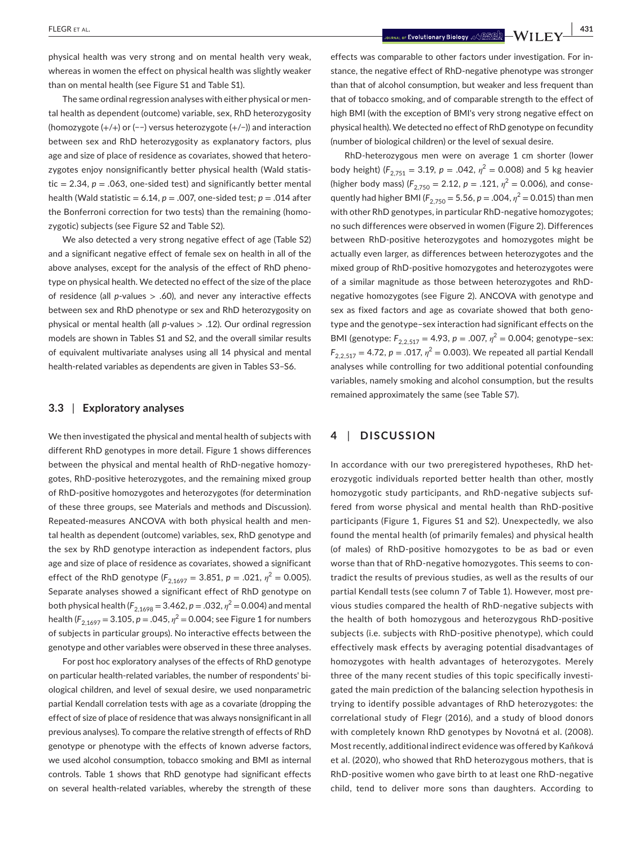physical health was very strong and on mental health very weak, whereas in women the effect on physical health was slightly weaker than on mental health (see Figure S1 and Table S1).

The same ordinal regression analyses with either physical or mental health as dependent (outcome) variable, sex, RhD heterozygosity (homozygote (+/+) or (−−) versus heterozygote (+/−)) and interaction between sex and RhD heterozygosity as explanatory factors, plus age and size of place of residence as covariates, showed that heterozygotes enjoy nonsignificantly better physical health (Wald statistic  $= 2.34$ ,  $p = .063$ , one-sided test) and significantly better mental health (Wald statistic =  $6.14$ ,  $p = .007$ , one-sided test;  $p = .014$  after the Bonferroni correction for two tests) than the remaining (homozygotic) subjects (see Figure S2 and Table S2).

We also detected a very strong negative effect of age (Table S2) and a significant negative effect of female sex on health in all of the above analyses, except for the analysis of the effect of RhD phenotype on physical health. We detected no effect of the size of the place of residence (all *p*-values > .60), and never any interactive effects between sex and RhD phenotype or sex and RhD heterozygosity on physical or mental health (all *p*-values > .12). Our ordinal regression models are shown in Tables S1 and S2, and the overall similar results of equivalent multivariate analyses using all 14 physical and mental health-related variables as dependents are given in Tables S3–S6.

#### **3.3** | **Exploratory analyses**

We then investigated the physical and mental health of subjects with different RhD genotypes in more detail. Figure 1 shows differences between the physical and mental health of RhD-negative homozygotes, RhD-positive heterozygotes, and the remaining mixed group of RhD-positive homozygotes and heterozygotes (for determination of these three groups, see Materials and methods and Discussion). Repeated-measures ANCOVA with both physical health and mental health as dependent (outcome) variables, sex, RhD genotype and the sex by RhD genotype interaction as independent factors, plus age and size of place of residence as covariates, showed a significant effect of the RhD genotype ( $F_{2,1697} = 3.851$ ,  $p = .021$ ,  $\eta^2 = 0.005$ ). Separate analyses showed a significant effect of RhD genotype on both physical health ( $F_{2,1698} = 3.462$ ,  $p = .032$ ,  $\eta^2 = 0.004$ ) and mental health (*F*2,1697 = 3.105, *p* = .045, *η* <sup>2</sup> = 0.004; see Figure 1 for numbers of subjects in particular groups). No interactive effects between the genotype and other variables were observed in these three analyses.

For post hoc exploratory analyses of the effects of RhD genotype on particular health-related variables, the number of respondents' biological children, and level of sexual desire, we used nonparametric partial Kendall correlation tests with age as a covariate (dropping the effect of size of place of residence that was always nonsignificant in all previous analyses). To compare the relative strength of effects of RhD genotype or phenotype with the effects of known adverse factors, we used alcohol consumption, tobacco smoking and BMI as internal controls. Table 1 shows that RhD genotype had significant effects on several health-related variables, whereby the strength of these

and the set of the set of the set of the set of the set of the set of the set of the set of the set of the set of the set of the set of the set of the set of the set of the set of the set of the set of the set of the set o

effects was comparable to other factors under investigation. For instance, the negative effect of RhD-negative phenotype was stronger than that of alcohol consumption, but weaker and less frequent than that of tobacco smoking, and of comparable strength to the effect of high BMI (with the exception of BMI's very strong negative effect on physical health). We detected no effect of RhD genotype on fecundity (number of biological children) or the level of sexual desire.

RhD-heterozygous men were on average 1 cm shorter (lower body height) ( $F_{2,751} = 3.19$ ,  $p = .042$ ,  $\eta^2 = 0.008$ ) and 5 kg heavier (higher body mass) ( $F_{2,750} = 2.12$ ,  $p = .121$ ,  $\eta^2 = 0.006$ ), and consequently had higher BMI ( $F_{2,750} = 5.56$ ,  $p = .004$ ,  $\eta^2 = 0.015$ ) than men with other RhD genotypes, in particular RhD-negative homozygotes; no such differences were observed in women (Figure 2). Differences between RhD-positive heterozygotes and homozygotes might be actually even larger, as differences between heterozygotes and the mixed group of RhD-positive homozygotes and heterozygotes were of a similar magnitude as those between heterozygotes and RhDnegative homozygotes (see Figure 2). ANCOVA with genotype and sex as fixed factors and age as covariate showed that both genotype and the genotype–sex interaction had significant effects on the BMI (genotype: *F*<sub>2,2,517</sub> = 4.93, *p* = .007, *η*<sup>2</sup> = 0.004; genotype-sex:  $F_{2,2,517} = 4.72$ ,  $p = .017$ ,  $\eta^2 = 0.003$ ). We repeated all partial Kendall analyses while controlling for two additional potential confounding variables, namely smoking and alcohol consumption, but the results remained approximately the same (see Table S7).

# **4** | **DISCUSSION**

In accordance with our two preregistered hypotheses, RhD heterozygotic individuals reported better health than other, mostly homozygotic study participants, and RhD-negative subjects suffered from worse physical and mental health than RhD-positive participants (Figure 1, Figures S1 and S2). Unexpectedly, we also found the mental health (of primarily females) and physical health (of males) of RhD-positive homozygotes to be as bad or even worse than that of RhD-negative homozygotes. This seems to contradict the results of previous studies, as well as the results of our partial Kendall tests (see column 7 of Table 1). However, most previous studies compared the health of RhD-negative subjects with the health of both homozygous and heterozygous RhD-positive subjects (i.e. subjects with RhD-positive phenotype), which could effectively mask effects by averaging potential disadvantages of homozygotes with health advantages of heterozygotes. Merely three of the many recent studies of this topic specifically investigated the main prediction of the balancing selection hypothesis in trying to identify possible advantages of RhD heterozygotes: the correlational study of Flegr (2016), and a study of blood donors with completely known RhD genotypes by Novotná et al. (2008). Most recently, additional indirect evidence was offered by Kaňková et al. (2020), who showed that RhD heterozygous mothers, that is RhD-positive women who gave birth to at least one RhD-negative child, tend to deliver more sons than daughters. According to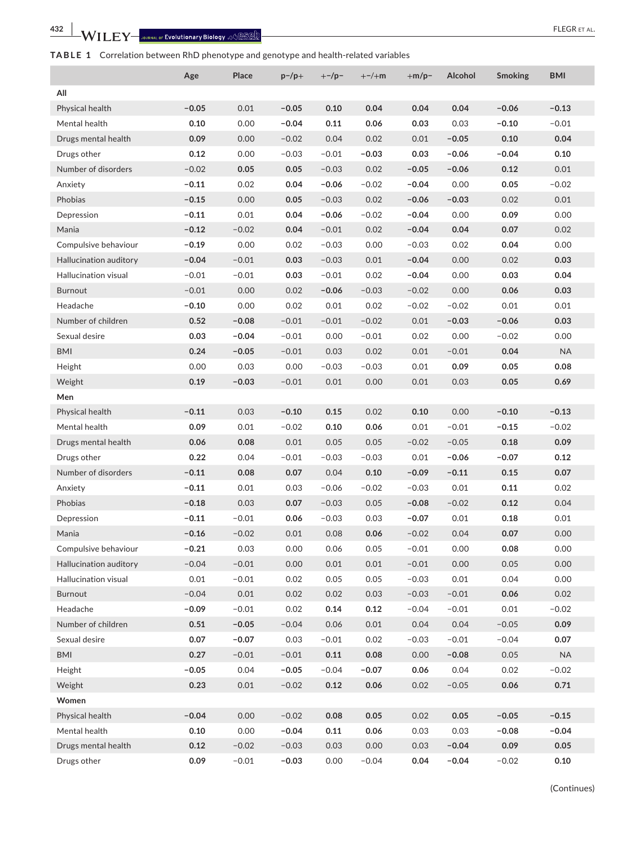# **TABLE 1** Correlation between RhD phenotype and genotype and health-related variables

|                             | Age     | Place   | $p$ -/p+ | $+$ -/p- | $+-/+m$ | $+m/p-$ | Alcohol | <b>Smoking</b> | <b>BMI</b> |
|-----------------------------|---------|---------|----------|----------|---------|---------|---------|----------------|------------|
| All                         |         |         |          |          |         |         |         |                |            |
| Physical health             | $-0.05$ | 0.01    | $-0.05$  | 0.10     | 0.04    | 0.04    | 0.04    | $-0.06$        | $-0.13$    |
| Mental health               | 0.10    | 0.00    | $-0.04$  | 0.11     | 0.06    | 0.03    | 0.03    | $-0.10$        | $-0.01$    |
| Drugs mental health         | 0.09    | 0.00    | $-0.02$  | 0.04     | 0.02    | 0.01    | $-0.05$ | 0.10           | 0.04       |
| Drugs other                 | 0.12    | 0.00    | $-0.03$  | $-0.01$  | $-0.03$ | 0.03    | $-0.06$ | $-0.04$        | 0.10       |
| Number of disorders         | $-0.02$ | 0.05    | 0.05     | $-0.03$  | 0.02    | $-0.05$ | $-0.06$ | 0.12           | 0.01       |
| Anxiety                     | $-0.11$ | 0.02    | 0.04     | $-0.06$  | $-0.02$ | $-0.04$ | 0.00    | 0.05           | $-0.02$    |
| Phobias                     | $-0.15$ | 0.00    | 0.05     | $-0.03$  | 0.02    | $-0.06$ | $-0.03$ | 0.02           | 0.01       |
| Depression                  | $-0.11$ | 0.01    | 0.04     | $-0.06$  | $-0.02$ | $-0.04$ | 0.00    | 0.09           | 0.00       |
| Mania                       | $-0.12$ | $-0.02$ | 0.04     | $-0.01$  | 0.02    | $-0.04$ | 0.04    | 0.07           | 0.02       |
| Compulsive behaviour        | $-0.19$ | 0.00    | 0.02     | $-0.03$  | 0.00    | $-0.03$ | 0.02    | 0.04           | 0.00       |
| Hallucination auditory      | $-0.04$ | $-0.01$ | 0.03     | $-0.03$  | 0.01    | $-0.04$ | 0.00    | 0.02           | 0.03       |
| <b>Hallucination visual</b> | $-0.01$ | $-0.01$ | 0.03     | $-0.01$  | 0.02    | $-0.04$ | 0.00    | 0.03           | 0.04       |
| <b>Burnout</b>              | $-0.01$ | 0.00    | 0.02     | $-0.06$  | $-0.03$ | $-0.02$ | 0.00    | 0.06           | 0.03       |
| Headache                    | $-0.10$ | 0.00    | 0.02     | 0.01     | 0.02    | $-0.02$ | $-0.02$ | 0.01           | 0.01       |
| Number of children          | 0.52    | $-0.08$ | $-0.01$  | $-0.01$  | $-0.02$ | 0.01    | $-0.03$ | $-0.06$        | 0.03       |
| Sexual desire               | 0.03    | $-0.04$ | $-0.01$  | 0.00     | $-0.01$ | 0.02    | 0.00    | $-0.02$        | 0.00       |
| <b>BMI</b>                  | 0.24    | $-0.05$ | $-0.01$  | 0.03     | 0.02    | 0.01    | $-0.01$ | 0.04           | <b>NA</b>  |
| Height                      | 0.00    | 0.03    | 0.00     | $-0.03$  | $-0.03$ | 0.01    | 0.09    | 0.05           | 0.08       |
| Weight                      | 0.19    | $-0.03$ | $-0.01$  | 0.01     | 0.00    | 0.01    | 0.03    | 0.05           | 0.69       |
| Men                         |         |         |          |          |         |         |         |                |            |
| Physical health             | $-0.11$ | 0.03    | $-0.10$  | 0.15     | 0.02    | 0.10    | 0.00    | $-0.10$        | $-0.13$    |
| Mental health               | 0.09    | 0.01    | $-0.02$  | 0.10     | 0.06    | 0.01    | $-0.01$ | $-0.15$        | $-0.02$    |
| Drugs mental health         | 0.06    | 0.08    | 0.01     | 0.05     | 0.05    | $-0.02$ | $-0.05$ | 0.18           | 0.09       |
| Drugs other                 | 0.22    | 0.04    | $-0.01$  | $-0.03$  | $-0.03$ | 0.01    | $-0.06$ | $-0.07$        | 0.12       |
| Number of disorders         | $-0.11$ | 0.08    | 0.07     | 0.04     | 0.10    | $-0.09$ | $-0.11$ | 0.15           | 0.07       |
| Anxiety                     | $-0.11$ | 0.01    | 0.03     | $-0.06$  | $-0.02$ | $-0.03$ | 0.01    | 0.11           | 0.02       |
| Phobias                     | $-0.18$ | 0.03    | 0.07     | $-0.03$  | 0.05    | $-0.08$ | $-0.02$ | 0.12           | 0.04       |
| Depression                  | $-0.11$ | $-0.01$ | 0.06     | $-0.03$  | 0.03    | $-0.07$ | 0.01    | 0.18           | 0.01       |
| Mania                       | $-0.16$ | $-0.02$ | 0.01     | 0.08     | 0.06    | $-0.02$ | 0.04    | 0.07           | 0.00       |
| Compulsive behaviour        | $-0.21$ | 0.03    | 0.00     | 0.06     | 0.05    | $-0.01$ | 0.00    | 0.08           | 0.00       |
| Hallucination auditory      | $-0.04$ | $-0.01$ | 0.00     | 0.01     | 0.01    | $-0.01$ | 0.00    | 0.05           | 0.00       |
| Hallucination visual        | 0.01    | $-0.01$ | 0.02     | 0.05     | 0.05    | $-0.03$ | 0.01    | 0.04           | 0.00       |
| Burnout                     | $-0.04$ | 0.01    | 0.02     | 0.02     | 0.03    | $-0.03$ | $-0.01$ | 0.06           | 0.02       |
| Headache                    | $-0.09$ | $-0.01$ | 0.02     | 0.14     | 0.12    | $-0.04$ | $-0.01$ | 0.01           | $-0.02$    |
| Number of children          | 0.51    | $-0.05$ | $-0.04$  | 0.06     | 0.01    | 0.04    | 0.04    | $-0.05$        | 0.09       |
| Sexual desire               | 0.07    | $-0.07$ | 0.03     | $-0.01$  | 0.02    | $-0.03$ | $-0.01$ | $-0.04$        | 0.07       |
| <b>BMI</b>                  | 0.27    | $-0.01$ | $-0.01$  | 0.11     | 0.08    | 0.00    | $-0.08$ | 0.05           | <b>NA</b>  |
| Height                      | $-0.05$ | 0.04    | $-0.05$  | $-0.04$  | $-0.07$ | 0.06    | 0.04    | 0.02           | $-0.02$    |
| Weight                      | 0.23    | 0.01    | $-0.02$  | 0.12     | 0.06    | 0.02    | $-0.05$ | 0.06           | 0.71       |
| Women                       |         |         |          |          |         |         |         |                |            |
| Physical health             | $-0.04$ | 0.00    | $-0.02$  | 0.08     | 0.05    | 0.02    | 0.05    | $-0.05$        | $-0.15$    |
| Mental health               | 0.10    | 0.00    | $-0.04$  | 0.11     | 0.06    | 0.03    | 0.03    | $-0.08$        | $-0.04$    |
| Drugs mental health         | 0.12    | $-0.02$ | $-0.03$  | 0.03     | 0.00    | 0.03    | $-0.04$ | 0.09           | 0.05       |
| Drugs other                 | 0.09    | $-0.01$ | $-0.03$  | 0.00     | $-0.04$ | 0.04    | $-0.04$ | $-0.02$        | $0.10\,$   |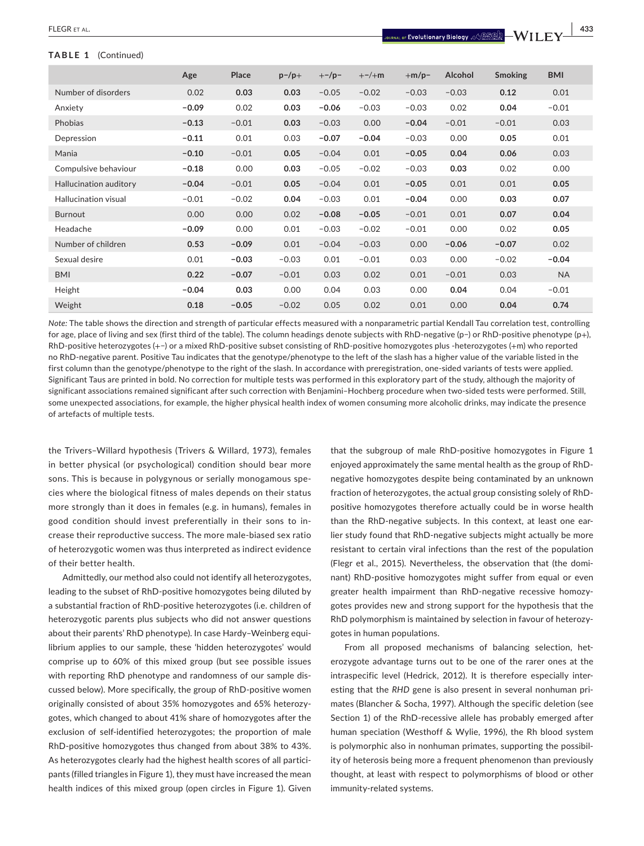**TABLE 1** (Continued)

 **|** FLEGR et al. **433**

|                        | Age     | Place   | $p$ -/p+ | $+$ -/p- | $+-/+m$ | $+m/p-$ | Alcohol | <b>Smoking</b> | <b>BMI</b> |
|------------------------|---------|---------|----------|----------|---------|---------|---------|----------------|------------|
| Number of disorders    | 0.02    | 0.03    | 0.03     | $-0.05$  | $-0.02$ | $-0.03$ | $-0.03$ | 0.12           | 0.01       |
| Anxiety                | $-0.09$ | 0.02    | 0.03     | $-0.06$  | $-0.03$ | $-0.03$ | 0.02    | 0.04           | $-0.01$    |
| Phobias                | $-0.13$ | $-0.01$ | 0.03     | $-0.03$  | 0.00    | $-0.04$ | $-0.01$ | $-0.01$        | 0.03       |
| Depression             | $-0.11$ | 0.01    | 0.03     | $-0.07$  | $-0.04$ | $-0.03$ | 0.00    | 0.05           | 0.01       |
| Mania                  | $-0.10$ | $-0.01$ | 0.05     | $-0.04$  | 0.01    | $-0.05$ | 0.04    | 0.06           | 0.03       |
| Compulsive behaviour   | $-0.18$ | 0.00    | 0.03     | $-0.05$  | $-0.02$ | $-0.03$ | 0.03    | 0.02           | 0.00       |
| Hallucination auditory | $-0.04$ | $-0.01$ | 0.05     | $-0.04$  | 0.01    | $-0.05$ | 0.01    | 0.01           | 0.05       |
| Hallucination visual   | $-0.01$ | $-0.02$ | 0.04     | $-0.03$  | 0.01    | $-0.04$ | 0.00    | 0.03           | 0.07       |
| Burnout                | 0.00    | 0.00    | 0.02     | $-0.08$  | $-0.05$ | $-0.01$ | 0.01    | 0.07           | 0.04       |
| Headache               | $-0.09$ | 0.00    | 0.01     | $-0.03$  | $-0.02$ | $-0.01$ | 0.00    | 0.02           | 0.05       |
| Number of children     | 0.53    | $-0.09$ | 0.01     | $-0.04$  | $-0.03$ | 0.00    | $-0.06$ | $-0.07$        | 0.02       |
| Sexual desire          | 0.01    | $-0.03$ | $-0.03$  | 0.01     | $-0.01$ | 0.03    | 0.00    | $-0.02$        | $-0.04$    |
| <b>BMI</b>             | 0.22    | $-0.07$ | $-0.01$  | 0.03     | 0.02    | 0.01    | $-0.01$ | 0.03           | <b>NA</b>  |
| Height                 | $-0.04$ | 0.03    | 0.00     | 0.04     | 0.03    | 0.00    | 0.04    | 0.04           | $-0.01$    |
| Weight                 | 0.18    | $-0.05$ | $-0.02$  | 0.05     | 0.02    | 0.01    | 0.00    | 0.04           | 0.74       |

*Note:* The table shows the direction and strength of particular effects measured with a nonparametric partial Kendall Tau correlation test, controlling for age, place of living and sex (first third of the table). The column headings denote subjects with RhD-negative (p−) or RhD-positive phenotype (p+), RhD-positive heterozygotes (+−) or a mixed RhD-positive subset consisting of RhD-positive homozygotes plus -heterozygotes (+m) who reported no RhD-negative parent. Positive Tau indicates that the genotype/phenotype to the left of the slash has a higher value of the variable listed in the first column than the genotype/phenotype to the right of the slash. In accordance with preregistration, one-sided variants of tests were applied. Significant Taus are printed in bold. No correction for multiple tests was performed in this exploratory part of the study, although the majority of significant associations remained significant after such correction with Benjamini–Hochberg procedure when two-sided tests were performed. Still, some unexpected associations, for example, the higher physical health index of women consuming more alcoholic drinks, may indicate the presence of artefacts of multiple tests.

the Trivers–Willard hypothesis (Trivers & Willard, 1973), females in better physical (or psychological) condition should bear more sons. This is because in polygynous or serially monogamous species where the biological fitness of males depends on their status more strongly than it does in females (e.g. in humans), females in good condition should invest preferentially in their sons to increase their reproductive success. The more male-biased sex ratio of heterozygotic women was thus interpreted as indirect evidence of their better health.

Admittedly, our method also could not identify all heterozygotes, leading to the subset of RhD-positive homozygotes being diluted by a substantial fraction of RhD-positive heterozygotes (i.e. children of heterozygotic parents plus subjects who did not answer questions about their parents' RhD phenotype). In case Hardy–Weinberg equilibrium applies to our sample, these 'hidden heterozygotes' would comprise up to 60% of this mixed group (but see possible issues with reporting RhD phenotype and randomness of our sample discussed below). More specifically, the group of RhD-positive women originally consisted of about 35% homozygotes and 65% heterozygotes, which changed to about 41% share of homozygotes after the exclusion of self-identified heterozygotes; the proportion of male RhD-positive homozygotes thus changed from about 38% to 43%. As heterozygotes clearly had the highest health scores of all participants (filled triangles in Figure 1), they must have increased the mean health indices of this mixed group (open circles in Figure 1). Given

that the subgroup of male RhD-positive homozygotes in Figure 1 enjoyed approximately the same mental health as the group of RhDnegative homozygotes despite being contaminated by an unknown fraction of heterozygotes, the actual group consisting solely of RhDpositive homozygotes therefore actually could be in worse health than the RhD-negative subjects. In this context, at least one earlier study found that RhD-negative subjects might actually be more resistant to certain viral infections than the rest of the population (Flegr et al., 2015). Nevertheless, the observation that (the dominant) RhD-positive homozygotes might suffer from equal or even greater health impairment than RhD-negative recessive homozygotes provides new and strong support for the hypothesis that the RhD polymorphism is maintained by selection in favour of heterozygotes in human populations.

From all proposed mechanisms of balancing selection, heterozygote advantage turns out to be one of the rarer ones at the intraspecific level (Hedrick, 2012). It is therefore especially interesting that the *RHD* gene is also present in several nonhuman primates (Blancher & Socha, 1997). Although the specific deletion (see Section 1) of the RhD-recessive allele has probably emerged after human speciation (Westhoff & Wylie, 1996), the Rh blood system is polymorphic also in nonhuman primates, supporting the possibility of heterosis being more a frequent phenomenon than previously thought, at least with respect to polymorphisms of blood or other immunity-related systems.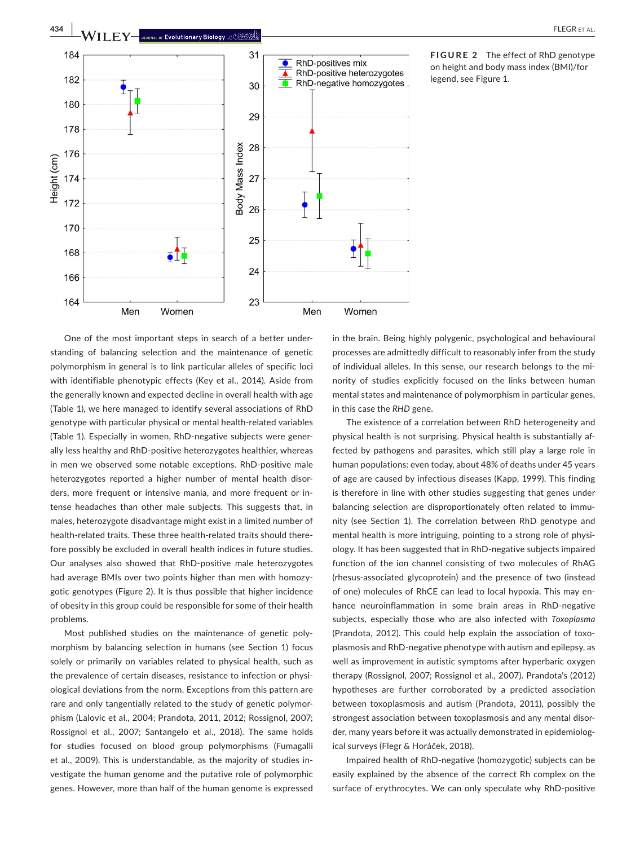

One of the most important steps in search of a better understanding of balancing selection and the maintenance of genetic polymorphism in general is to link particular alleles of specific loci with identifiable phenotypic effects (Key et al., 2014). Aside from the generally known and expected decline in overall health with age (Table 1), we here managed to identify several associations of RhD genotype with particular physical or mental health-related variables (Table 1). Especially in women, RhD-negative subjects were generally less healthy and RhD-positive heterozygotes healthier, whereas in men we observed some notable exceptions. RhD-positive male heterozygotes reported a higher number of mental health disorders, more frequent or intensive mania, and more frequent or intense headaches than other male subjects. This suggests that, in males, heterozygote disadvantage might exist in a limited number of health-related traits. These three health-related traits should therefore possibly be excluded in overall health indices in future studies. Our analyses also showed that RhD-positive male heterozygotes had average BMIs over two points higher than men with homozygotic genotypes (Figure 2). It is thus possible that higher incidence of obesity in this group could be responsible for some of their health problems.

Most published studies on the maintenance of genetic polymorphism by balancing selection in humans (see Section 1) focus solely or primarily on variables related to physical health, such as the prevalence of certain diseases, resistance to infection or physiological deviations from the norm. Exceptions from this pattern are rare and only tangentially related to the study of genetic polymorphism (Lalovic et al., 2004; Prandota, 2011, 2012; Rossignol, 2007; Rossignol et al., 2007; Santangelo et al., 2018). The same holds for studies focused on blood group polymorphisms (Fumagalli et al., 2009). This is understandable, as the majority of studies investigate the human genome and the putative role of polymorphic genes. However, more than half of the human genome is expressed

in the brain. Being highly polygenic, psychological and behavioural processes are admittedly difficult to reasonably infer from the study of individual alleles. In this sense, our research belongs to the minority of studies explicitly focused on the links between human mental states and maintenance of polymorphism in particular genes, in this case the *RHD* gene.

The existence of a correlation between RhD heterogeneity and physical health is not surprising. Physical health is substantially affected by pathogens and parasites, which still play a large role in human populations: even today, about 48% of deaths under 45 years of age are caused by infectious diseases (Kapp, 1999). This finding is therefore in line with other studies suggesting that genes under balancing selection are disproportionately often related to immunity (see Section 1). The correlation between RhD genotype and mental health is more intriguing, pointing to a strong role of physiology. It has been suggested that in RhD-negative subjects impaired function of the ion channel consisting of two molecules of RhAG (rhesus-associated glycoprotein) and the presence of two (instead of one) molecules of RhCE can lead to local hypoxia. This may enhance neuroinflammation in some brain areas in RhD-negative subjects, especially those who are also infected with *Toxoplasma* (Prandota, 2012). This could help explain the association of toxoplasmosis and RhD-negative phenotype with autism and epilepsy, as well as improvement in autistic symptoms after hyperbaric oxygen therapy (Rossignol, 2007; Rossignol et al., 2007). Prandota's (2012) hypotheses are further corroborated by a predicted association between toxoplasmosis and autism (Prandota, 2011), possibly the strongest association between toxoplasmosis and any mental disorder, many years before it was actually demonstrated in epidemiological surveys (Flegr & Horáček, 2018).

Impaired health of RhD-negative (homozygotic) subjects can be easily explained by the absence of the correct Rh complex on the surface of erythrocytes. We can only speculate why RhD-positive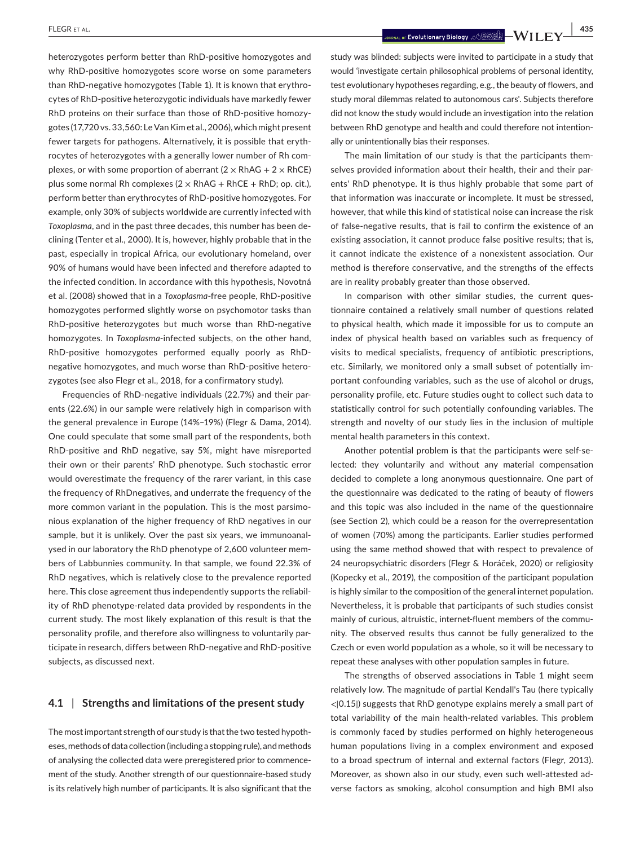heterozygotes perform better than RhD-positive homozygotes and why RhD-positive homozygotes score worse on some parameters than RhD-negative homozygotes (Table 1). It is known that erythrocytes of RhD-positive heterozygotic individuals have markedly fewer RhD proteins on their surface than those of RhD-positive homozygotes (17,720 vs. 33,560: Le Van Kim et al., 2006), which might present fewer targets for pathogens. Alternatively, it is possible that erythrocytes of heterozygotes with a generally lower number of Rh complexes, or with some proportion of aberrant  $(2 \times RhAG + 2 \times RhCE)$ plus some normal Rh complexes ( $2 \times RhAG + RhCE + RhD$ ; op. cit.), perform better than erythrocytes of RhD-positive homozygotes. For example, only 30% of subjects worldwide are currently infected with *Toxoplasma*, and in the past three decades, this number has been declining (Tenter et al., 2000). It is, however, highly probable that in the past, especially in tropical Africa, our evolutionary homeland, over 90% of humans would have been infected and therefore adapted to the infected condition. In accordance with this hypothesis, Novotná et al. (2008) showed that in a *Toxoplasma*-free people, RhD-positive homozygotes performed slightly worse on psychomotor tasks than RhD-positive heterozygotes but much worse than RhD-negative homozygotes. In *Toxoplasma*-infected subjects, on the other hand, RhD-positive homozygotes performed equally poorly as RhDnegative homozygotes, and much worse than RhD-positive heterozygotes (see also Flegr et al., 2018, for a confirmatory study).

Frequencies of RhD-negative individuals (22.7%) and their parents (22.6%) in our sample were relatively high in comparison with the general prevalence in Europe (14%–19%) (Flegr & Dama, 2014). One could speculate that some small part of the respondents, both RhD-positive and RhD negative, say 5%, might have misreported their own or their parents' RhD phenotype. Such stochastic error would overestimate the frequency of the rarer variant, in this case the frequency of RhDnegatives, and underrate the frequency of the more common variant in the population. This is the most parsimonious explanation of the higher frequency of RhD negatives in our sample, but it is unlikely. Over the past six years, we immunoanalysed in our laboratory the RhD phenotype of 2,600 volunteer members of Labbunnies community. In that sample, we found 22.3% of RhD negatives, which is relatively close to the prevalence reported here. This close agreement thus independently supports the reliability of RhD phenotype-related data provided by respondents in the current study. The most likely explanation of this result is that the personality profile, and therefore also willingness to voluntarily participate in research, differs between RhD-negative and RhD-positive subjects, as discussed next.

## **4.1** | **Strengths and limitations of the present study**

The most important strength of our study is that the two tested hypotheses, methods of data collection (including a stopping rule), and methods of analysing the collected data were preregistered prior to commencement of the study. Another strength of our questionnaire-based study is its relatively high number of participants. It is also significant that the

 **|** FLEGR et al. **435**

study was blinded: subjects were invited to participate in a study that would 'investigate certain philosophical problems of personal identity, test evolutionary hypotheses regarding, e.g., the beauty of flowers, and study moral dilemmas related to autonomous cars'. Subjects therefore did not know the study would include an investigation into the relation between RhD genotype and health and could therefore not intentionally or unintentionally bias their responses.

The main limitation of our study is that the participants themselves provided information about their health, their and their parents' RhD phenotype. It is thus highly probable that some part of that information was inaccurate or incomplete. It must be stressed, however, that while this kind of statistical noise can increase the risk of false-negative results, that is fail to confirm the existence of an existing association, it cannot produce false positive results; that is, it cannot indicate the existence of a nonexistent association. Our method is therefore conservative, and the strengths of the effects are in reality probably greater than those observed.

In comparison with other similar studies, the current questionnaire contained a relatively small number of questions related to physical health, which made it impossible for us to compute an index of physical health based on variables such as frequency of visits to medical specialists, frequency of antibiotic prescriptions, etc. Similarly, we monitored only a small subset of potentially important confounding variables, such as the use of alcohol or drugs, personality profile, etc. Future studies ought to collect such data to statistically control for such potentially confounding variables. The strength and novelty of our study lies in the inclusion of multiple mental health parameters in this context.

Another potential problem is that the participants were self-selected: they voluntarily and without any material compensation decided to complete a long anonymous questionnaire. One part of the questionnaire was dedicated to the rating of beauty of flowers and this topic was also included in the name of the questionnaire (see Section 2), which could be a reason for the overrepresentation of women (70%) among the participants. Earlier studies performed using the same method showed that with respect to prevalence of 24 neuropsychiatric disorders (Flegr & Horáček, 2020) or religiosity (Kopecky et al., 2019), the composition of the participant population is highly similar to the composition of the general internet population. Nevertheless, it is probable that participants of such studies consist mainly of curious, altruistic, internet-fluent members of the community. The observed results thus cannot be fully generalized to the Czech or even world population as a whole, so it will be necessary to repeat these analyses with other population samples in future.

The strengths of observed associations in Table 1 might seem relatively low. The magnitude of partial Kendall's Tau (here typically <∣0.15∣) suggests that RhD genotype explains merely a small part of total variability of the main health-related variables. This problem is commonly faced by studies performed on highly heterogeneous human populations living in a complex environment and exposed to a broad spectrum of internal and external factors (Flegr, 2013). Moreover, as shown also in our study, even such well-attested adverse factors as smoking, alcohol consumption and high BMI also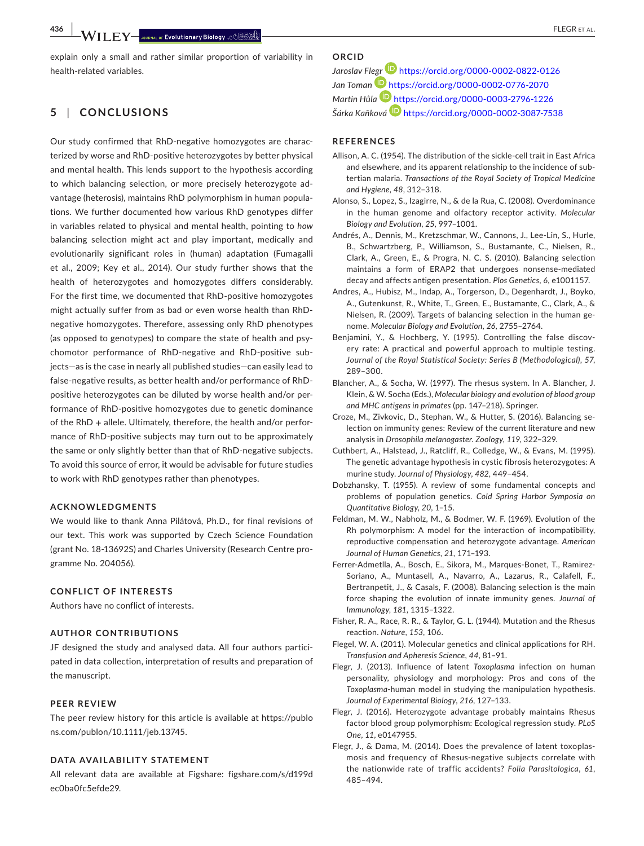explain only a small and rather similar proportion of variability in health-related variables.

# **5** | **CONCLUSIONS**

Our study confirmed that RhD-negative homozygotes are characterized by worse and RhD-positive heterozygotes by better physical and mental health. This lends support to the hypothesis according to which balancing selection, or more precisely heterozygote advantage (heterosis), maintains RhD polymorphism in human populations. We further documented how various RhD genotypes differ in variables related to physical and mental health, pointing to *how* balancing selection might act and play important, medically and evolutionarily significant roles in (human) adaptation (Fumagalli et al., 2009; Key et al., 2014). Our study further shows that the health of heterozygotes and homozygotes differs considerably. For the first time, we documented that RhD-positive homozygotes might actually suffer from as bad or even worse health than RhDnegative homozygotes. Therefore, assessing only RhD phenotypes (as opposed to genotypes) to compare the state of health and psychomotor performance of RhD-negative and RhD-positive subjects—as is the case in nearly all published studies—can easily lead to false-negative results, as better health and/or performance of RhDpositive heterozygotes can be diluted by worse health and/or performance of RhD-positive homozygotes due to genetic dominance of the RhD + allele. Ultimately, therefore, the health and/or performance of RhD-positive subjects may turn out to be approximately the same or only slightly better than that of RhD-negative subjects. To avoid this source of error, it would be advisable for future studies to work with RhD genotypes rather than phenotypes.

#### **ACKNOWLEDGMENTS**

We would like to thank Anna Pilátová, Ph.D., for final revisions of our text. This work was supported by Czech Science Foundation (grant No. 18-13692S) and Charles University (Research Centre programme No. 204056).

#### **CONFLICT OF INTERESTS**

Authors have no conflict of interests.

## **AUTHOR CONTRIBUTIONS**

JF designed the study and analysed data. All four authors participated in data collection, interpretation of results and preparation of the manuscript.

#### **PEER REVIEW**

The peer review history for this article is available at [https://publo](https://publons.com/publon/10.1111/jeb.13745) [ns.com/publon/10.1111/jeb.13745](https://publons.com/publon/10.1111/jeb.13745).

#### **DATA AVAILABILITY STATEMENT**

All relevant data are available at Figshare: [figshare.com/s/d199d](http://figshare.com/s/d199dec0ba0fc5efde29) [ec0ba0fc5efde29](http://figshare.com/s/d199dec0ba0fc5efde29).

# **ORCID**

*Jaroslav Fl[egr](https://orcid.org/0000-0002-0776-2070)* <https://orcid.org/0000-0002-0822-0126> *Jan Toman* <https://orcid.org/0000-0002-0776-2070> *Martin Hůla* <https://orcid.org/0000-0003-2796-1226> *Šárka Kaňková* <https://orcid.org/0000-0002-3087-7538>

#### **REFERENCES**

- Allison, A. C. (1954). The distribution of the sickle-cell trait in East Africa and elsewhere, and its apparent relationship to the incidence of subtertian malaria. *Transactions of the Royal Society of Tropical Medicine and Hygiene*, *48*, 312–318.
- Alonso, S., Lopez, S., Izagirre, N., & de la Rua, C. (2008). Overdominance in the human genome and olfactory receptor activity. *Molecular Biology and Evolution*, *25*, 997–1001.
- Andrés, A., Dennis, M., Kretzschmar, W., Cannons, J., Lee-Lin, S., Hurle, B., Schwartzberg, P., Williamson, S., Bustamante, C., Nielsen, R., Clark, A., Green, E., & Progra, N. C. S. (2010). Balancing selection maintains a form of ERAP2 that undergoes nonsense-mediated decay and affects antigen presentation. *Plos Genetics*, *6*, e1001157.
- Andres, A., Hubisz, M., Indap, A., Torgerson, D., Degenhardt, J., Boyko, A., Gutenkunst, R., White, T., Green, E., Bustamante, C., Clark, A., & Nielsen, R. (2009). Targets of balancing selection in the human genome. *Molecular Biology and Evolution*, *26*, 2755–2764.
- Benjamini, Y., & Hochberg, Y. (1995). Controlling the false discovery rate: A practical and powerful approach to multiple testing. *Journal of the Royal Statistical Society: Series B (Methodological)*, *57*, 289–300.
- Blancher, A., & Socha, W. (1997). The rhesus system. In A. Blancher, J. Klein, & W. Socha (Eds.), *Molecular biology and evolution of blood group and MHC antigens in primates* (pp. 147–218). Springer.
- Croze, M., Zivkovic, D., Stephan, W., & Hutter, S. (2016). Balancing selection on immunity genes: Review of the current literature and new analysis in *Drosophila melanogaster*. *Zoology*, *119*, 322–329.
- Cuthbert, A., Halstead, J., Ratcliff, R., Colledge, W., & Evans, M. (1995). The genetic advantage hypothesis in cystic fibrosis heterozygotes: A murine study. *Journal of Physiology*, *482*, 449–454.
- Dobzhansky, T. (1955). A review of some fundamental concepts and problems of population genetics. *Cold Spring Harbor Symposia on Quantitative Biology*, *20*, 1–15.
- Feldman, M. W., Nabholz, M., & Bodmer, W. F. (1969). Evolution of the Rh polymorphism: A model for the interaction of incompatibility, reproductive compensation and heterozygote advantage. *American Journal of Human Genetics*, *21*, 171–193.
- Ferrer-Admetlla, A., Bosch, E., Sikora, M., Marques-Bonet, T., Ramirez-Soriano, A., Muntasell, A., Navarro, A., Lazarus, R., Calafell, F., Bertranpetit, J., & Casals, F. (2008). Balancing selection is the main force shaping the evolution of innate immunity genes. *Journal of Immunology*, *181*, 1315–1322.
- Fisher, R. A., Race, R. R., & Taylor, G. L. (1944). Mutation and the Rhesus reaction. *Nature*, *153*, 106.
- Flegel, W. A. (2011). Molecular genetics and clinical applications for RH. *Transfusion and Apheresis Science*, *44*, 81–91.
- Flegr, J. (2013). Influence of latent *Toxoplasma* infection on human personality, physiology and morphology: Pros and cons of the *Toxoplasma*-human model in studying the manipulation hypothesis. *Journal of Experimental Biology*, *216*, 127–133.
- Flegr, J. (2016). Heterozygote advantage probably maintains Rhesus factor blood group polymorphism: Ecological regression study. *PLoS One*, *11*, e0147955.
- Flegr, J., & Dama, M. (2014). Does the prevalence of latent toxoplasmosis and frequency of Rhesus-negative subjects correlate with the nationwide rate of traffic accidents? *Folia Parasitologica*, *61*, 485–494.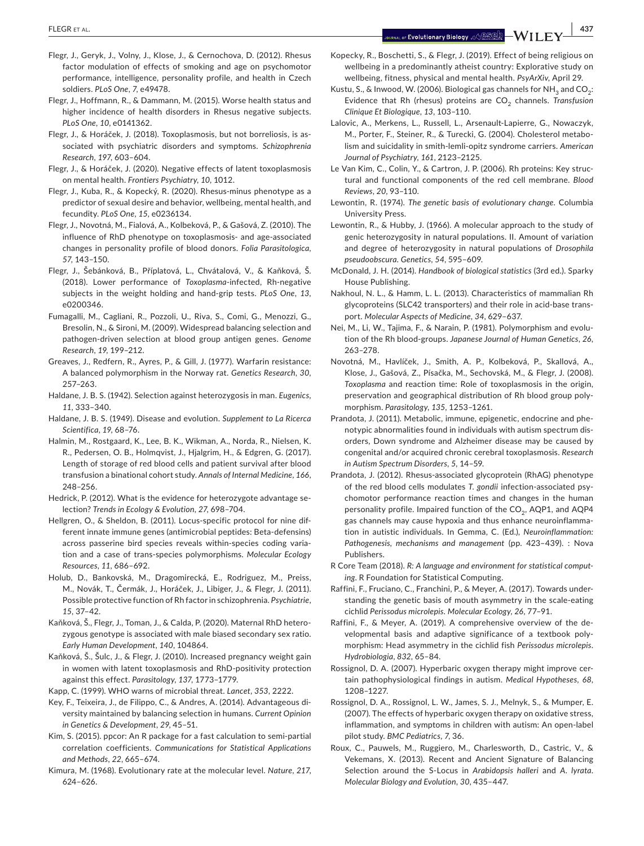**|** FLEGR et al. **437**

- Flegr, J., Geryk, J., Volny, J., Klose, J., & Cernochova, D. (2012). Rhesus factor modulation of effects of smoking and age on psychomotor performance, intelligence, personality profile, and health in Czech soldiers. *PLoS One*, *7*, e49478.
- Flegr, J., Hoffmann, R., & Dammann, M. (2015). Worse health status and higher incidence of health disorders in Rhesus negative subjects. *PLoS One*, *10*, e0141362.
- Flegr, J., & Horáček, J. (2018). Toxoplasmosis, but not borreliosis, is associated with psychiatric disorders and symptoms. *Schizophrenia Research*, *197*, 603–604.
- Flegr, J., & Horáček, J. (2020). Negative effects of latent toxoplasmosis on mental health. *Frontiers Psychiatry*, *10*, 1012.
- Flegr, J., Kuba, R., & Kopecký, R. (2020). Rhesus-minus phenotype as a predictor of sexual desire and behavior, wellbeing, mental health, and fecundity. *PLoS One*, *15*, e0236134.
- Flegr, J., Novotná, M., Fialová, A., Kolbeková, P., & Gašová, Z. (2010). The influence of RhD phenotype on toxoplasmosis- and age-associated changes in personality profile of blood donors. *Folia Parasitologica*, *57*, 143–150.
- Flegr, J., Šebánková, B., Příplatová, L., Chvátalová, V., & Kaňková, Š. (2018). Lower performance of *Toxoplasma*-infected, Rh-negative subjects in the weight holding and hand-grip tests. *PLoS One*, *13*, e0200346.
- Fumagalli, M., Cagliani, R., Pozzoli, U., Riva, S., Comi, G., Menozzi, G., Bresolin, N., & Sironi, M. (2009). Widespread balancing selection and pathogen-driven selection at blood group antigen genes. *Genome Research*, *19*, 199–212.
- Greaves, J., Redfern, R., Ayres, P., & Gill, J. (1977). Warfarin resistance: A balanced polymorphism in the Norway rat. *Genetics Research*, *30*, 257–263.
- Haldane, J. B. S. (1942). Selection against heterozygosis in man. *Eugenics*, *11*, 333–340.
- Haldane, J. B. S. (1949). Disease and evolution. *Supplement to La Ricerca Scientifica*, *19*, 68–76.
- Halmin, M., Rostgaard, K., Lee, B. K., Wikman, A., Norda, R., Nielsen, K. R., Pedersen, O. B., Holmqvist, J., Hjalgrim, H., & Edgren, G. (2017). Length of storage of red blood cells and patient survival after blood transfusion a binational cohort study. *Annals of Internal Medicine*, *166*, 248–256.
- Hedrick, P. (2012). What is the evidence for heterozygote advantage selection? *Trends in Ecology & Evolution*, *27*, 698–704.
- Hellgren, O., & Sheldon, B. (2011). Locus-specific protocol for nine different innate immune genes (antimicrobial peptides: Beta-defensins) across passerine bird species reveals within-species coding variation and a case of trans-species polymorphisms. *Molecular Ecology Resources*, *11*, 686–692.
- Holub, D., Bankovská, M., Dragomirecká, E., Rodriguez, M., Preiss, M., Novák, T., Čermák, J., Horáček, J., Libiger, J., & Flegr, J. (2011). Possible protective function of Rh factor in schizophrenia. *Psychiatrie*, *15*, 37–42.
- Kaňková, Š., Flegr, J., Toman, J., & Calda, P. (2020). Maternal RhD heterozygous genotype is associated with male biased secondary sex ratio. *Early Human Development*, *140*, 104864.
- Kaňková, Š., Šulc, J., & Flegr, J. (2010). Increased pregnancy weight gain in women with latent toxoplasmosis and RhD-positivity protection against this effect. *Parasitology*, *137*, 1773–1779.
- Kapp, C. (1999). WHO warns of microbial threat. *Lancet*, *353*, 2222.
- Key, F., Teixeira, J., de Filippo, C., & Andres, A. (2014). Advantageous diversity maintained by balancing selection in humans. *Current Opinion in Genetics & Development*, *29*, 45–51.
- Kim, S. (2015). ppcor: An R package for a fast calculation to semi-partial correlation coefficients. *Communications for Statistical Applications and Methods*, *22*, 665–674.
- Kimura, M. (1968). Evolutionary rate at the molecular level. *Nature*, *217*, 624–626.
- Kopecky, R., Boschetti, S., & Flegr, J. (2019). Effect of being religious on wellbeing in a predominantly atheist country: Explorative study on wellbeing, fitness, physical and mental health. *PsyArXiv*, April 29.
- Kustu, S., & Inwood, W. (2006). Biological gas channels for  $NH<sub>3</sub>$  and CO<sub>2</sub>: Evidence that Rh (rhesus) proteins are CO<sub>2</sub> channels. *Transfusion Clinique Et Biologique*, *13*, 103–110.
- Lalovic, A., Merkens, L., Russell, L., Arsenault-Lapierre, G., Nowaczyk, M., Porter, F., Steiner, R., & Turecki, G. (2004). Cholesterol metabolism and suicidality in smith-lemli-opitz syndrome carriers. *American Journal of Psychiatry*, *161*, 2123–2125.
- Le Van Kim, C., Colin, Y., & Cartron, J. P. (2006). Rh proteins: Key structural and functional components of the red cell membrane. *Blood Reviews*, *20*, 93–110.
- Lewontin, R. (1974). *The genetic basis of evolutionary change*. Columbia University Press.
- Lewontin, R., & Hubby, J. (1966). A molecular approach to the study of genic heterozygosity in natural populations. II. Amount of variation and degree of heterozygosity in natural populations of *Drosophila pseudoobscura*. *Genetics*, *54*, 595–609.
- McDonald, J. H. (2014). *Handbook of biological statistics* (3rd ed.). Sparky House Publishing.
- Nakhoul, N. L., & Hamm, L. L. (2013). Characteristics of mammalian Rh glycoproteins (SLC42 transporters) and their role in acid-base transport. *Molecular Aspects of Medicine*, *34*, 629–637.
- Nei, M., Li, W., Tajima, F., & Narain, P. (1981). Polymorphism and evolution of the Rh blood-groups. *Japanese Journal of Human Genetics*, *26*, 263–278.
- Novotná, M., Havlíček, J., Smith, A. P., Kolbeková, P., Skallová, A., Klose, J., Gašová, Z., Písačka, M., Sechovská, M., & Flegr, J. (2008). *Toxoplasma* and reaction time: Role of toxoplasmosis in the origin, preservation and geographical distribution of Rh blood group polymorphism. *Parasitology*, *135*, 1253–1261.
- Prandota, J. (2011). Metabolic, immune, epigenetic, endocrine and phenotypic abnormalities found in individuals with autism spectrum disorders, Down syndrome and Alzheimer disease may be caused by congenital and/or acquired chronic cerebral toxoplasmosis. *Research in Autism Spectrum Disorders*, *5*, 14–59.
- Prandota, J. (2012). Rhesus-associated glycoprotein (RhAG) phenotype of the red blood cells modulates *T. gondii* infection-associated psychomotor performance reaction times and changes in the human personality profile. Impaired function of the  $CO<sub>2</sub>$ , AQP1, and AQP4 gas channels may cause hypoxia and thus enhance neuroinflammation in autistic individuals. In Gemma, C. (Ed.), *Neuroinflammation: Pathogenesis, mechanisms and management* (pp. 423–439). : Nova Publishers.
- R Core Team (2018). *R: A language and environment for statistical computing*. R Foundation for Statistical Computing.
- Raffini, F., Fruciano, C., Franchini, P., & Meyer, A. (2017). Towards understanding the genetic basis of mouth asymmetry in the scale-eating cichlid *Perissodus microlepis*. *Molecular Ecology*, *26*, 77–91.
- Raffini, F., & Meyer, A. (2019). A comprehensive overview of the developmental basis and adaptive significance of a textbook polymorphism: Head asymmetry in the cichlid fish *Perissodus microlepis*. *Hydrobiologia*, *832*, 65–84.
- Rossignol, D. A. (2007). Hyperbaric oxygen therapy might improve certain pathophysiological findings in autism. *Medical Hypotheses*, *68*, 1208–1227.
- Rossignol, D. A., Rossignol, L. W., James, S. J., Melnyk, S., & Mumper, E. (2007). The effects of hyperbaric oxygen therapy on oxidative stress, inflammation, and symptoms in children with autism: An open-label pilot study. *BMC Pediatrics*, *7*, 36.
- Roux, C., Pauwels, M., Ruggiero, M., Charlesworth, D., Castric, V., & Vekemans, X. (2013). Recent and Ancient Signature of Balancing Selection around the S-Locus in *Arabidopsis halleri* and *A. lyrata*. *Molecular Biology and Evolution*, *30*, 435–447.